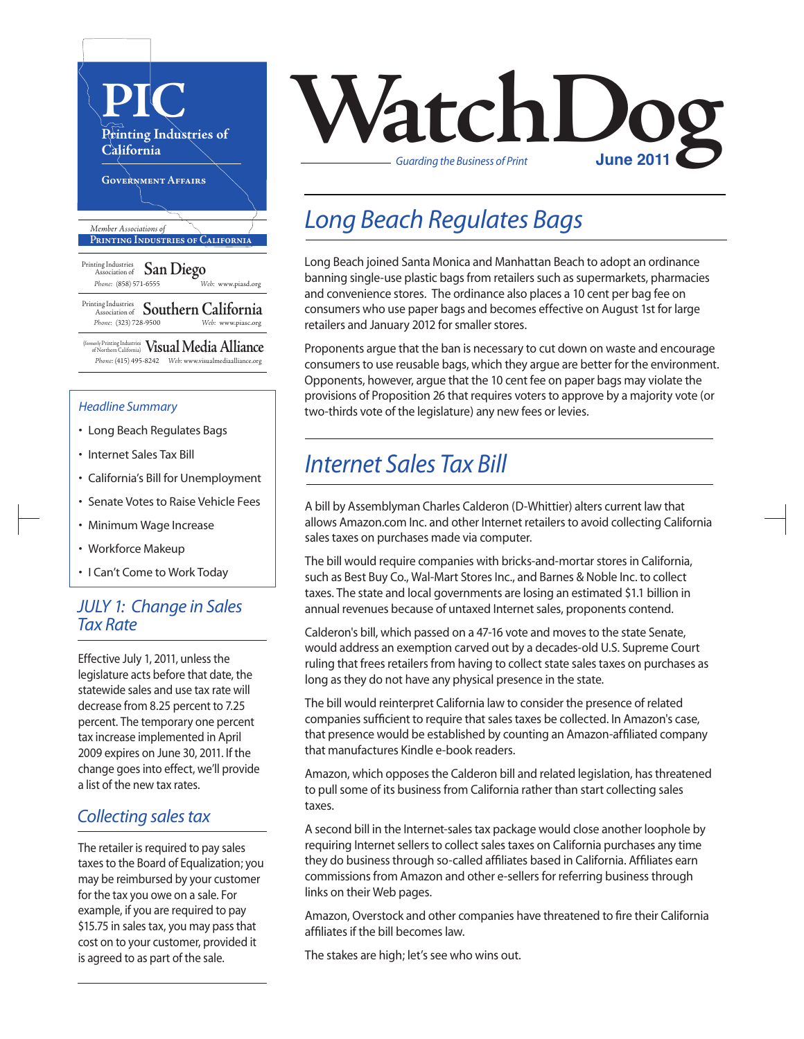

### *Headline Summary*

- Long Beach Regulates Bags
- Internet Sales Tax Bill
- California's Bill for Unemployment
- Senate Votes to Raise Vehicle Fees
- Minimum Wage Increase
- Workforce Makeup
- I Can't Come to Work Today

## *JULY 1: Change in Sales Tax Rate*

Effective July 1, 2011, unless the legislature acts before that date, the statewide sales and use tax rate will decrease from 8.25 percent to 7.25 percent. The temporary one percent tax increase implemented in April 2009 expires on June 30, 2011. If the change goes into effect, we'll provide a list of the new tax rates.

## *Collecting sales tax*

The retailer is required to pay sales taxes to the Board of Equalization; you may be reimbursed by your customer for the tax you owe on a sale. For example, if you are required to pay \$15.75 in sales tax, you may pass that cost on to your customer, provided it is agreed to as part of the sale.



# *Long Beach Regulates Bags*

Long Beach joined Santa Monica and Manhattan Beach to adopt an ordinance banning single-use plastic bags from retailers such as supermarkets, pharmacies and convenience stores. The ordinance also places a 10 cent per bag fee on consumers who use paper bags and becomes effective on August 1st for large retailers and January 2012 for smaller stores.

Proponents argue that the ban is necessary to cut down on waste and encourage consumers to use reusable bags, which they argue are better for the environment. Opponents, however, argue that the 10 cent fee on paper bags may violate the provisions of Proposition 26 that requires voters to approve by a majority vote (or two-thirds vote of the legislature) any new fees or levies.

# *Internet Sales Tax Bill*

A bill by Assemblyman Charles Calderon (D-Whittier) alters current law that allows Amazon.com Inc. and other Internet retailers to avoid collecting California sales taxes on purchases made via computer.

The bill would require companies with bricks-and-mortar stores in California, such as Best Buy Co., Wal-Mart Stores Inc., and Barnes & Noble Inc. to collect taxes. The state and local governments are losing an estimated \$1.1 billion in annual revenues because of untaxed Internet sales, proponents contend.

Calderon's bill, which passed on a 47-16 vote and moves to the state Senate, would address an exemption carved out by a decades-old U.S. Supreme Court ruling that frees retailers from having to collect state sales taxes on purchases as long as they do not have any physical presence in the state.

The bill would reinterpret California law to consider the presence of related companies sufficient to require that sales taxes be collected. In Amazon's case, that presence would be established by counting an Amazon-affiliated company that manufactures Kindle e-book readers.

Amazon, which opposes the Calderon bill and related legislation, has threatened to pull some of its business from California rather than start collecting sales taxes.

A second bill in the Internet-sales tax package would close another loophole by requiring Internet sellers to collect sales taxes on California purchases any time they do business through so-called affiliates based in California. Affiliates earn commissions from Amazon and other e-sellers for referring business through links on their Web pages.

Amazon, Overstock and other companies have threatened to fire their California affiliates if the bill becomes law.

The stakes are high; let's see who wins out.